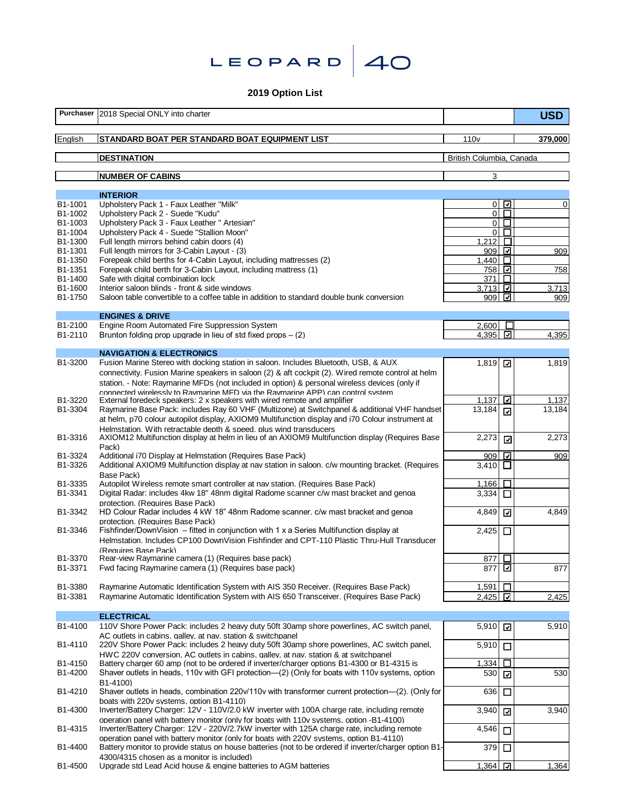| LEOPARD $40$ |  |
|--------------|--|
|--------------|--|

**2019 Option List**

| Purchaser          | 2018 Special ONLY into charter                                                                                                                                                                    |                          |                          | <b>USD</b> |
|--------------------|---------------------------------------------------------------------------------------------------------------------------------------------------------------------------------------------------|--------------------------|--------------------------|------------|
| English            | STANDARD BOAT PER STANDARD BOAT EQUIPMENT LIST                                                                                                                                                    | 110 <sub>v</sub>         |                          | 379,000    |
|                    | <b>DESTINATION</b>                                                                                                                                                                                | British Columbia, Canada |                          |            |
|                    | <b>NUMBER OF CABINS</b>                                                                                                                                                                           | 3                        |                          |            |
|                    |                                                                                                                                                                                                   |                          |                          |            |
| B1-1001            | <b>INTERIOR</b><br>Upholstery Pack 1 - Faux Leather "Milk"                                                                                                                                        |                          | $0\sqrt{2}$              | 0          |
| B1-1002            | Upholstery Pack 2 - Suede "Kudu"                                                                                                                                                                  |                          | 0 <sub>l</sub>           |            |
| B1-1003            | Upholstery Pack 3 - Faux Leather " Artesian"                                                                                                                                                      |                          | $\circ$ $\Box$           |            |
| B1-1004<br>B1-1300 | Upholstery Pack 4 - Suede "Stallion Moon"<br>Full length mirrors behind cabin doors (4)                                                                                                           | 1,212                    | 0 <sup>2</sup><br>$\Box$ |            |
| B1-1301            | Full length mirrors for 3-Cabin Layout - (3)                                                                                                                                                      | 909                      | ⊡                        | 909        |
| B1-1350            | Forepeak child berths for 4-Cabin Layout, including mattresses (2)                                                                                                                                | 1.440                    | $\Box$                   |            |
| B1-1351            | Forepeak child berth for 3-Cabin Layout, including mattress (1)                                                                                                                                   | 758                      | ⊡                        | 758        |
| B1-1400<br>B1-1600 | Safe with digital combination lock<br>Interior saloon blinds - front & side windows                                                                                                               | 371<br>3.713             | $\Box$<br>⊡              | 3,713      |
| B1-1750            | Saloon table convertible to a coffee table in addition to standard double bunk conversion                                                                                                         | 909                      | ⊡                        | 909        |
|                    |                                                                                                                                                                                                   |                          |                          |            |
| B1-2100            | <b>ENGINES &amp; DRIVE</b><br>Engine Room Automated Fire Suppression System                                                                                                                       | 2,600                    | Е                        |            |
| B1-2110            | Brunton folding prop upgrade in lieu of std fixed props $-$ (2)                                                                                                                                   | 4,395                    | ⊡                        | 4,395      |
|                    |                                                                                                                                                                                                   |                          |                          |            |
| B1-3200            | <b>NAVIGATION &amp; ELECTRONICS</b><br>Fusion Marine Stereo with docking station in saloon. Includes Bluetooth, USB, & AUX                                                                        | 1,819                    | ☑                        | 1,819      |
|                    | connectivity. Fusion Marine speakers in saloon (2) & aft cockpit (2). Wired remote control at helm                                                                                                |                          |                          |            |
|                    | station. - Note: Raymarine MFDs (not included in option) & personal wireless devices (only if                                                                                                     |                          |                          |            |
|                    | connected wirelessly to Raymarine MFD via the Raymarine APP) can control system                                                                                                                   |                          |                          |            |
| B1-3220<br>B1-3304 | External foredeck speakers: 2 x speakers with wired remote and amplifier                                                                                                                          | 1,137                    | ⊡                        | 1,137      |
|                    | Raymarine Base Pack: includes Ray 60 VHF (Multizone) at Switchpanel & additional VHF handset<br>at helm, p70 colour autopilot display, AXIOM9 Multifunction display and i70 Colour instrument at  | 13,184                   | ☑                        | 13,184     |
|                    | Helmstation. With retractable depth & speed, plus wind transducers                                                                                                                                |                          |                          |            |
| B1-3316            | AXIOM12 Multifunction display at helm in lieu of an AXIOM9 Multifunction display (Requires Base                                                                                                   | 2,273                    | $\overline{\mathbf{z}}$  | 2,273      |
|                    | Pack)                                                                                                                                                                                             |                          |                          |            |
| B1-3324<br>B1-3326 | Additional i70 Display at Helmstation (Requires Base Pack)<br>Additional AXIOM9 Multifunction display at nav station in saloon. c/w mounting bracket. (Requires                                   | 909<br>3,410 $\Box$      | ⊡                        | 909        |
|                    | Base Pack)                                                                                                                                                                                        |                          |                          |            |
| B1-3335            | Autopilot Wireless remote smart controller at nav station. (Requires Base Pack)                                                                                                                   | 1,166                    | $\Box$                   |            |
| B1-3341            | Digital Radar: includes 4kw 18" 48nm digital Radome scanner c/w mast bracket and genoa                                                                                                            | 3,334                    | □                        |            |
| B1-3342            | protection. (Requires Base Pack)<br>HD Colour Radar includes 4 kW 18" 48nm Radome scanner. c/w mast bracket and genoa                                                                             | 4,849                    | ⊡                        | 4,849      |
|                    | protection. (Requires Base Pack)                                                                                                                                                                  |                          |                          |            |
| B1-3346            | Fishfinder/DownVision $-$ fitted in conjunction with 1 x a Series Multifunction display at                                                                                                        | 2,425                    | □                        |            |
|                    | Helmstation. Includes CP100 DownVision Fishfinder and CPT-110 Plastic Thru-Hull Transducer                                                                                                        |                          |                          |            |
| B1-3370            | (Requires Base Pack)<br>Rear-view Raymarine camera (1) (Requires base pack)                                                                                                                       | 877 □                    |                          |            |
| B1-3371            | Fwd facing Raymarine camera (1) (Requires base pack)                                                                                                                                              | 877                      | ⊡                        | 877        |
|                    |                                                                                                                                                                                                   |                          |                          |            |
| B1-3380            | Raymarine Automatic Identification System with AIS 350 Receiver, (Requires Base Pack)                                                                                                             | 1,591                    | □                        |            |
| B1-3381            | Raymarine Automatic Identification System with AIS 650 Transceiver. (Requires Base Pack)                                                                                                          | 2,425                    | ⊡                        | 2,425      |
|                    | <b>ELECTRICAL</b>                                                                                                                                                                                 |                          |                          |            |
| B1-4100            | 110V Shore Power Pack: includes 2 heavy duty 50ft 30amp shore powerlines, AC switch panel,                                                                                                        | 5,910                    | $\overline{\phantom{0}}$ | 5,910      |
| B1-4110            | AC outlets in cabins, galley, at nay, station & switchpanel<br>220V Shore Power Pack: includes 2 heavy duty 50ft 30amp shore powerlines, AC switch panel,                                         | 5,910                    |                          |            |
|                    | HWC 220V conversion. AC outlets in cabins. galley, at nav. station & at switchpanel                                                                                                               |                          | $\Box$                   |            |
| B1-4150            | Battery charger 60 amp (not to be ordered if inverter/charger options B1-4300 or B1-4315 is                                                                                                       | 1,334                    | □                        |            |
| B1-4200            | Shaver outlets in heads, 110v with GFI protection—(2) (Only for boats with 110v systems, option                                                                                                   | 530                      | ☑                        | 530        |
| B1-4210            | B1-4100)<br>Shaver outlets in heads, combination 220v/110v with transformer current protection—(2). (Only for                                                                                     | 636                      |                          |            |
|                    | boats with 220v systems. option B1-4110)                                                                                                                                                          |                          | □                        |            |
| B1-4300            | Inverter/Battery Charger: 12V - 110V/2.0 kW inverter with 100A charge rate, including remote                                                                                                      | 3,940                    | ⊡                        | 3,940      |
|                    | operation panel with battery monitor (only for boats with 110 v systems, option - B1-4100)                                                                                                        |                          |                          |            |
| B1-4315            | Inverter/Battery Charger: 12V - 220V/2.7kW inverter with 125A charge rate, including remote                                                                                                       | 4,546                    | $\Box$                   |            |
| B1-4400            | operation panel with battery monitor (only for boats with 220V systems, option B1-4110)<br>Battery monitor to provide status on house batteries (not to be ordered if inverter/charger option B1- | 379                      | $\Box$                   |            |
|                    | 4300/4315 chosen as a monitor is included)                                                                                                                                                        |                          |                          |            |
| B1-4500            | Upgrade std Lead Acid house & engine batteries to AGM batteries                                                                                                                                   | 1,364                    | ⊡                        | 1,364      |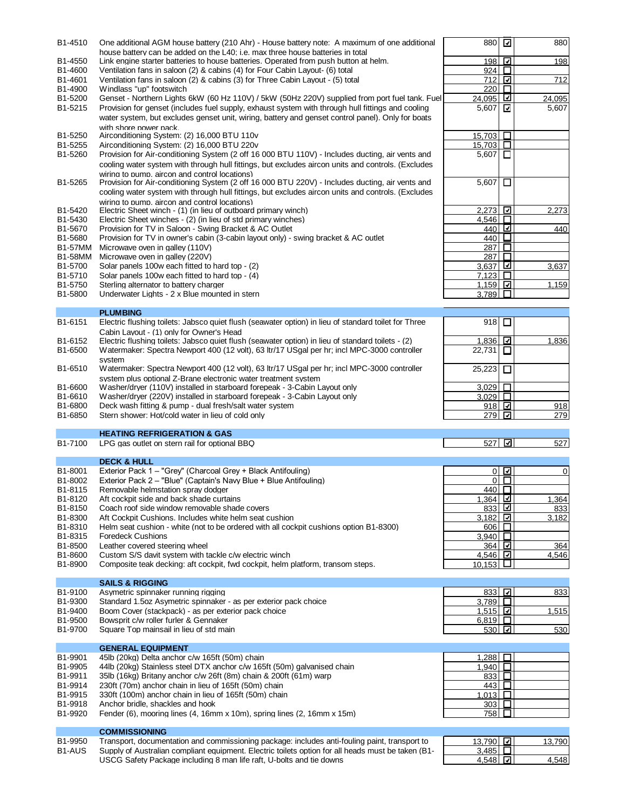| B1-4510            | One additional AGM house battery (210 Ahr) - House battery note: A maximum of one additional                                                                                                                                                           | 880                       | ⊡                        | 880          |
|--------------------|--------------------------------------------------------------------------------------------------------------------------------------------------------------------------------------------------------------------------------------------------------|---------------------------|--------------------------|--------------|
| B1-4550            | house battery can be added on the L40: i.e. max three house batteries in total<br>Link engine starter batteries to house batteries. Operated from push button at helm.                                                                                 | 198                       | ⊡                        | 198          |
| B1-4600            | Ventilation fans in saloon (2) & cabins (4) for Four Cabin Layout- (6) total                                                                                                                                                                           | 924                       | $\Box$                   |              |
| B1-4601            | Ventilation fans in saloon (2) & cabins (3) for Three Cabin Layout - (5) total                                                                                                                                                                         | 712                       | ⊡                        | 712          |
| B1-4900            | Windlass "up" footswitch                                                                                                                                                                                                                               | 220                       | ◘                        |              |
| B1-5200            | Genset - Northern Lights 6kW (60 Hz 110V) / 5kW (50Hz 220V) supplied from port fuel tank. Fuel                                                                                                                                                         | 24,095                    | ⊻                        | 24,095       |
| B1-5215            | Provision for genset (includes fuel supply, exhaust system with through hull fittings and cooling<br>water system, but excludes genset unit, wiring, battery and genset control panel). Only for boats                                                 | 5,607                     | ☑                        | 5,607        |
|                    | with shore power pack.                                                                                                                                                                                                                                 |                           |                          |              |
| B1-5250<br>B1-5255 | Airconditioning System: (2) 16,000 BTU 110v<br>Airconditioning System: (2) 16,000 BTU 220v                                                                                                                                                             | 15,703<br>15,703          | □<br>□                   |              |
| B1-5260            | Provision for Air-conditioning System (2 off 16 000 BTU 110V) - Includes ducting, air vents and                                                                                                                                                        | 5,607                     | $\overline{\phantom{a}}$ |              |
|                    | cooling water system with through hull fittings, but excludes aircon units and controls. (Excludes                                                                                                                                                     |                           |                          |              |
|                    | wiring to pump, aircon and control locations)                                                                                                                                                                                                          |                           |                          |              |
| B1-5265            | Provision for Air-conditioning System (2 off 16 000 BTU 220V) - Includes ducting, air vents and<br>cooling water system with through hull fittings, but excludes aircon units and controls. (Excludes<br>wiring to pump. aircon and control locations) | 5,607                     | □                        |              |
| B1-5420            | Electric Sheet winch - (1) (in lieu of outboard primary winch)                                                                                                                                                                                         | 2,273                     | ⊡                        | 2,273        |
| B1-5430            | Electric Sheet winches - (2) (in lieu of std primary winches)                                                                                                                                                                                          | 4,546                     | П                        |              |
| B1-5670            | Provision for TV in Saloon - Swing Bracket & AC Outlet                                                                                                                                                                                                 | 440                       | ☑                        | 440          |
| B1-5680            | Provision for TV in owner's cabin (3-cabin layout only) - swing bracket & AC outlet                                                                                                                                                                    | 440                       | ⊔                        |              |
| <b>B1-57MM</b>     | Microwave oven in galley (110V)                                                                                                                                                                                                                        | 287                       | П                        |              |
| <b>B1-58MM</b>     | Microwave oven in galley (220V)                                                                                                                                                                                                                        | 287                       | П                        |              |
| B1-5700            | Solar panels 100w each fitted to hard top - (2)                                                                                                                                                                                                        | 3,637                     | ☑                        | 3,637        |
| B1-5710<br>B1-5750 | Solar panels 100w each fitted to hard top - (4)<br>Sterling alternator to battery charger                                                                                                                                                              | 7,123<br>1,159            | □<br>⊡                   | 1,159        |
| B1-5800            | Underwater Lights - 2 x Blue mounted in stern                                                                                                                                                                                                          | 3,789                     | П                        |              |
|                    |                                                                                                                                                                                                                                                        |                           |                          |              |
| B1-6151            | <b>PLUMBING</b><br>Electric flushing toilets: Jabsco quiet flush (seawater option) in lieu of standard toilet for Three                                                                                                                                |                           |                          |              |
|                    | Cabin Lavout - (1) only for Owner's Head                                                                                                                                                                                                               | 918                       | □                        |              |
| B1-6152            | Electric flushing toilets: Jabsco quiet flush (seawater option) in lieu of standard toilets - (2)                                                                                                                                                      | 1,836                     | ☑                        | 1,836        |
| B1-6500            | Watermaker: Spectra Newport 400 (12 volt), 63 ltr/17 USgal per hr; incl MPC-3000 controller                                                                                                                                                            | 22,731                    | ⊔                        |              |
|                    | system                                                                                                                                                                                                                                                 |                           |                          |              |
| B1-6510            | Watermaker: Spectra Newport 400 (12 volt), 63 ltr/17 USgal per hr; incl MPC-3000 controller                                                                                                                                                            | 25,223                    | □                        |              |
|                    | system plus optional Z-Brane electronic water treatment system                                                                                                                                                                                         |                           |                          |              |
| B1-6600            | Washer/dryer (110V) installed in starboard forepeak - 3-Cabin Layout only                                                                                                                                                                              | 3,029                     | □                        |              |
| B1-6610            | Washer/dryer (220V) installed in starboard forepeak - 3-Cabin Layout only                                                                                                                                                                              | 3.029                     | $\Box$                   |              |
|                    |                                                                                                                                                                                                                                                        |                           |                          |              |
| B1-6800            | Deck wash fitting & pump - dual fresh/salt water system                                                                                                                                                                                                | 918                       | ⊡                        | 918          |
| B1-6850            | Stern shower: Hot/cold water in lieu of cold only                                                                                                                                                                                                      | 279                       | ⊡                        | 279          |
|                    | <b>HEATING REFRIGERATION &amp; GAS</b>                                                                                                                                                                                                                 |                           |                          |              |
| B1-7100            | LPG gas outlet on stern rail for optional BBQ                                                                                                                                                                                                          | 527                       | ☑                        | 527          |
|                    | <b>DECK &amp; HULL</b>                                                                                                                                                                                                                                 |                           |                          |              |
| B1-8001            | Exterior Pack 1 - "Grey" (Charcoal Grey + Black Antifouling)                                                                                                                                                                                           | 0                         | ⊡                        | $\mathbf 0$  |
| B1-8002            | Exterior Pack 2 - "Blue" (Captain's Navy Blue + Blue Antifouling)                                                                                                                                                                                      | 0                         | П                        |              |
| B1-8115            | Removable helmstation spray dodger                                                                                                                                                                                                                     | 440                       | $\Box$                   |              |
| B1-8120            | Aft cockpit side and back shade curtains                                                                                                                                                                                                               | $1,364$ 네                 |                          | 1,364        |
| B1-8150            | Coach roof side window removable shade covers                                                                                                                                                                                                          | <u>833</u> ⊡              |                          | 833          |
| B1-8300            | Aft Cockpit Cushions. Includes white helm seat cushion                                                                                                                                                                                                 | 3,182                     | ☑                        | 3,182        |
| B1-8310            | Helm seat cushion - white (not to be ordered with all cockpit cushions option B1-8300)                                                                                                                                                                 | 606                       | □                        |              |
| B1-8315            | <b>Foredeck Cushions</b>                                                                                                                                                                                                                               | 3.940                     | $\Box$                   |              |
| B1-8500<br>B1-8600 | Leather covered steering wheel<br>Custom S/S davit system with tackle c/w electric winch                                                                                                                                                               | 364 立<br>4,546 $\Box$     |                          | 364<br>4,546 |
| B1-8900            | Composite teak decking: aft cockpit, fwd cockpit, helm platform, transom steps.                                                                                                                                                                        | 10.153                    | ப                        |              |
|                    |                                                                                                                                                                                                                                                        |                           |                          |              |
|                    | <b>SAILS &amp; RIGGING</b>                                                                                                                                                                                                                             |                           |                          |              |
| B1-9100<br>B1-9300 | Asymetric spinnaker running rigging<br>Standard 1.5oz Asymetric spinnaker - as per exterior pack choice                                                                                                                                                | 833<br>3,789 $\Box$       | ☑                        | 833          |
| B1-9400            | Boom Cover (stackpack) - as per exterior pack choice                                                                                                                                                                                                   | 1,515 $\Box$              |                          | 1,515        |
| B1-9500            | Bowsprit c/w roller furler & Gennaker                                                                                                                                                                                                                  | $6,819$ $\Box$            |                          |              |
| B1-9700            | Square Top mainsail in lieu of std main                                                                                                                                                                                                                | 530 고                     |                          | 530          |
|                    | <b>GENERAL EQUIPMENT</b>                                                                                                                                                                                                                               |                           |                          |              |
| B1-9901            | 45lb (20kg) Delta anchor c/w 165ft (50m) chain                                                                                                                                                                                                         | 1,288                     | □                        |              |
|                    | 44lb (20kg) Stainless steel DTX anchor c/w 165ft (50m) galvanised chain                                                                                                                                                                                | 1,940                     | $\Box$                   |              |
| B1-9905<br>B1-9911 | 35lb (16kg) Britany anchor c/w 26ft (8m) chain & 200ft (61m) warp                                                                                                                                                                                      | 833                       | □                        |              |
| B1-9914            | 230ft (70m) anchor chain in lieu of 165ft (50m) chain                                                                                                                                                                                                  | 443                       | $\Box$                   |              |
| B1-9915            | 330ft (100m) anchor chain in lieu of 165ft (50m) chain                                                                                                                                                                                                 | 1,013                     | □                        |              |
| B1-9918            | Anchor bridle, shackles and hook                                                                                                                                                                                                                       | 303 <sub>1</sub>          | $\Box$                   |              |
| B1-9920            | Fender (6), mooring lines (4, 16mm x 10m), spring lines (2, 16mm x 15m)                                                                                                                                                                                | 758                       | $\Box$                   |              |
|                    | <b>COMMISSIONING</b>                                                                                                                                                                                                                                   |                           |                          |              |
| B1-9950            | Transport, documentation and commissioning package: includes anti-fouling paint, transport to                                                                                                                                                          | 13,790 그                  |                          | 13,790       |
| B1-AUS             | Supply of Australian compliant equipment. Electric toilets option for all heads must be taken (B1-<br>USCG Safety Package including 8 man life raft, U-bolts and tie downs                                                                             | 3,485 $\Box$<br>$4,548$ ⊡ |                          | 4,548        |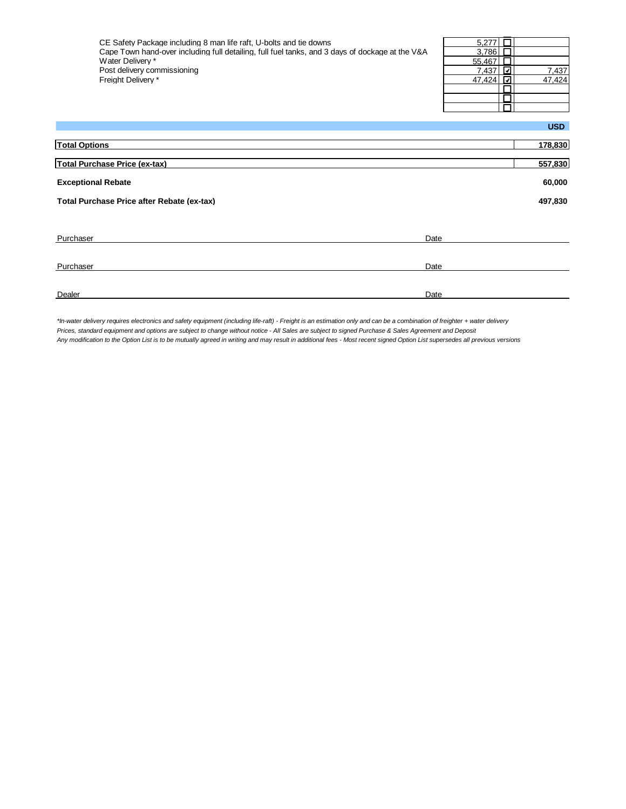| CE Safety Package including 8 man life raft, U-bolts and tie downs<br>Cape Town hand-over including full detailing, full fuel tanks, and 3 days of dockage at the V&A<br>Water Delivery *<br>Post delivery commissioning<br>Freight Delivery * | 5.277<br>3,786<br>55,467<br>7,437<br>⊡<br>47,424<br>⊡ | 7,437<br>47,424 |
|------------------------------------------------------------------------------------------------------------------------------------------------------------------------------------------------------------------------------------------------|-------------------------------------------------------|-----------------|
|                                                                                                                                                                                                                                                |                                                       | <b>USD</b>      |
| <b>Total Options</b>                                                                                                                                                                                                                           |                                                       | 178,830         |
| <b>Total Purchase Price (ex-tax)</b>                                                                                                                                                                                                           |                                                       | 557,830         |
| <b>Exceptional Rebate</b>                                                                                                                                                                                                                      |                                                       | 60,000          |
| Total Purchase Price after Rebate (ex-tax)                                                                                                                                                                                                     |                                                       | 497,830         |
|                                                                                                                                                                                                                                                |                                                       |                 |
| Date<br>Purchaser                                                                                                                                                                                                                              |                                                       |                 |
| Purchaser<br>Date                                                                                                                                                                                                                              |                                                       |                 |

Dealer **Dealer Date of the Contract of the Contract of the Contract of the Contract of the Date of the Date of the Contract of the Contract of the Contract of the Contract of the Contract of the Contract of the Contract** 

*\*In-water delivery requires electronics and safety equipment (including life-raft) - Freight is an estimation only and can be a combination of freighter + water delivery Prices, standard equipment and options are subject to change without notice - All Sales are subject to signed Purchase & Sales Agreement and Deposit Any modification to the Option List is to be mutually agreed in writing and may result in additional fees - Most recent signed Option List supersedes all previous versions*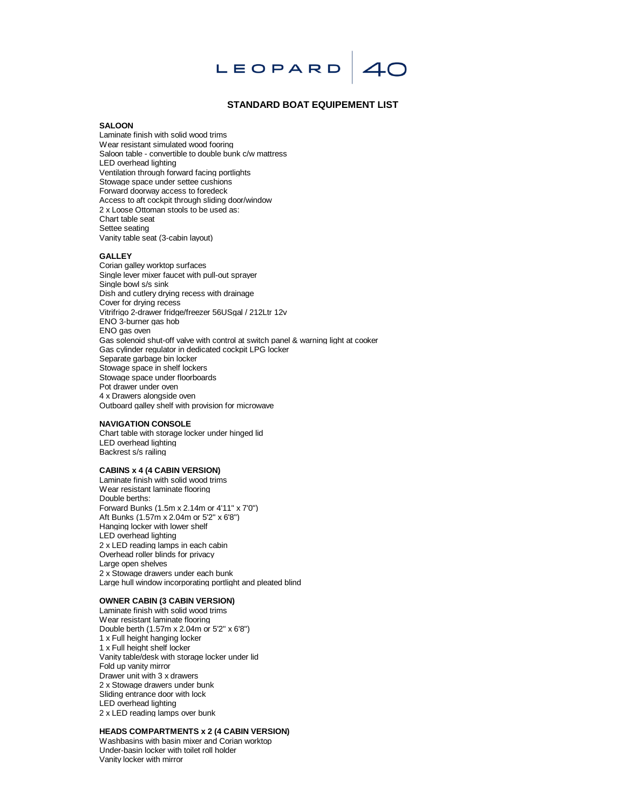

## **STANDARD BOAT EQUIPEMENT LIST**

### **SALOON**

Laminate finish with solid wood trims Wear resistant simulated wood fooring Saloon table - convertible to double bunk c/w mattress LED overhead lighting Ventilation through forward facing portlights Stowage space under settee cushions Forward doorway access to foredeck Access to aft cockpit through sliding door/window 2 x Loose Ottoman stools to be used as: Chart table seat Settee seating Vanity table seat (3-cabin layout)

#### **GALLEY**

Corian galley worktop surfaces Single lever mixer faucet with pull-out sprayer Single bowl s/s sink Dish and cutlery drying recess with drainage Cover for drying recess Vitrifrigo 2-drawer fridge/freezer 56USgal / 212Ltr 12v ENO 3-burner gas hob ENO gas oven Gas solenoid shut-off valve with control at switch panel & warning light at cooker Gas cylinder regulator in dedicated cockpit LPG locker Separate garbage bin locker Stowage space in shelf lockers Stowage space under floorboards Pot drawer under oven 4 x Drawers alongside oven Outboard galley shelf with provision for microwave

#### **NAVIGATION CONSOLE**

Chart table with storage locker under hinged lid LED overhead lighting Backrest s/s railing

# **CABINS x 4 (4 CABIN VERSION)**

Laminate finish with solid wood trims Wear resistant laminate flooring Double berths: Forward Bunks (1.5m x 2.14m or 4'11" x 7'0") Aft Bunks (1.57m x 2.04m or 5'2" x 6'8") Hanging locker with lower shelf LED overhead lighting 2 x LED reading lamps in each cabin Overhead roller blinds for privacy Large open shelves 2 x Stowage drawers under each bunk Large hull window incorporating portlight and pleated blind

#### **OWNER CABIN (3 CABIN VERSION)**

Laminate finish with solid wood trims Wear resistant laminate flooring Double berth (1.57m x 2.04m or 5'2" x 6'8") 1 x Full height hanging locker 1 x Full height shelf locker Vanity table/desk with storage locker under lid Fold up vanity mirror Drawer unit with 3 x drawers 2 x Stowage drawers under bunk Sliding entrance door with lock LED overhead lighting 2 x LED reading lamps over bunk

## **HEADS COMPARTMENTS x 2 (4 CABIN VERSION)**

Washbasins with basin mixer and Corian worktop Under-basin locker with toilet roll holder Vanity locker with mirror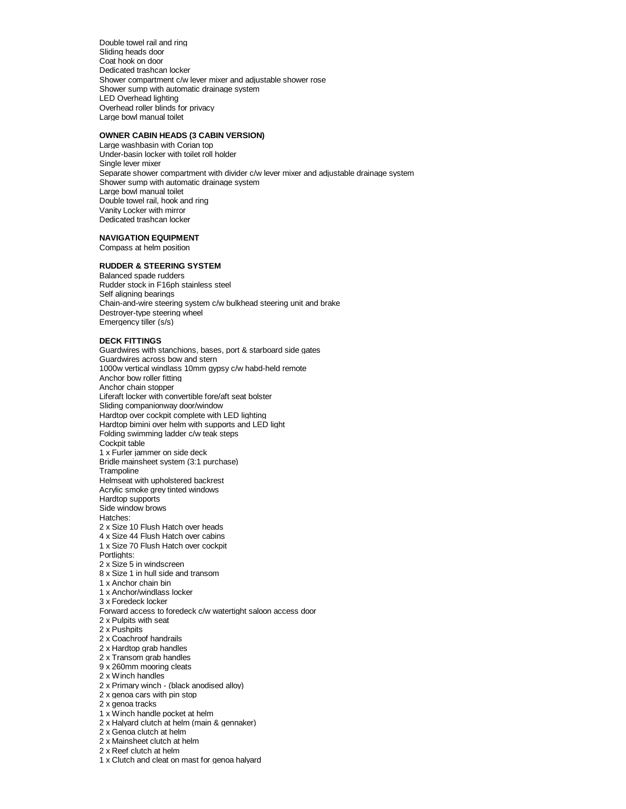Double towel rail and ring Sliding heads door Coat hook on door Dedicated trashcan locker Shower compartment c/w lever mixer and adjustable shower rose Shower sump with automatic drainage system LED Overhead lighting Overhead roller blinds for privacy Large bowl manual toilet

#### **OWNER CABIN HEADS (3 CABIN VERSION)**

Large washbasin with Corian top Under-basin locker with toilet roll holder Single lever mixer Separate shower compartment with divider c/w lever mixer and adjustable drainage system Shower sump with automatic drainage system Large bowl manual toilet Double towel rail, hook and ring Vanity Locker with mirror Dedicated trashcan locker

**NAVIGATION EQUIPMENT** Compass at helm position

#### **RUDDER & STEERING SYSTEM**

Balanced spade rudders Rudder stock in F16ph stainless steel Self aligning bearings Chain-and-wire steering system c/w bulkhead steering unit and brake Destroyer-type steering wheel Emergency tiller (s/s)

#### **DECK FITTINGS**

Guardwires with stanchions, bases, port & starboard side gates Guardwires across bow and stern 1000w vertical windlass 10mm gypsy c/w habd-held remote Anchor bow roller fitting Anchor chain stopper Liferaft locker with convertible fore/aft seat bolster Sliding companionway door/window Hardtop over cockpit complete with LED lighting Hardtop bimini over helm with supports and LED light Folding swimming ladder c/w teak steps Cockpit table 1 x Furler jammer on side deck Bridle mainsheet system (3:1 purchase) **Trampoline** Helmseat with upholstered backrest Acrylic smoke grey tinted windows Hardtop supports Side window brows Hatches: 2 x Size 10 Flush Hatch over heads 4 x Size 44 Flush Hatch over cabins 1 x Size 70 Flush Hatch over cockpit Portlights: 2 x Size 5 in windscreen 8 x Size 1 in hull side and transom 1 x Anchor chain bin 1 x Anchor/windlass locker 3 x Foredeck locker Forward access to foredeck c/w watertight saloon access door 2 x Pulpits with seat 2 x Pushpits 2 x Coachroof handrails 2 x Hardtop grab handles 2 x Transom grab handles 9 x 260mm mooring cleats 2 x Winch handles 2 x Primary winch - (black anodised alloy) 2 x genoa cars with pin stop 2 x genoa tracks 1 x Winch handle pocket at helm 2 x Halyard clutch at helm (main & gennaker) 2 x Genoa clutch at helm 2 x Mainsheet clutch at helm

2 x Reef clutch at helm

1 x Clutch and cleat on mast for genoa halyard